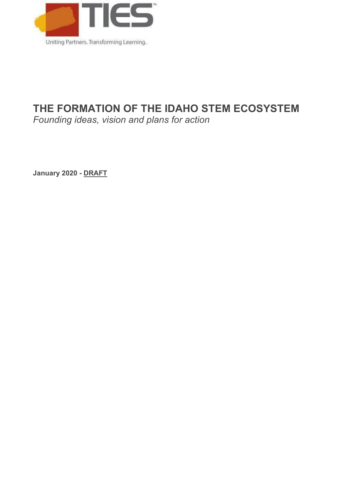

# **THE FORMATION OF THE IDAHO STEM ECOSYSTEM**

*Founding ideas, vision and plans for action* 

**January 2020 - DRAFT**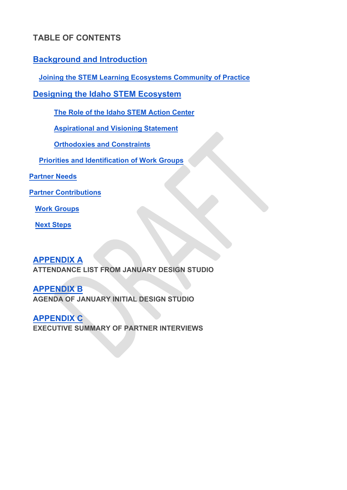## **TABLE OF CONTENTS**

## **[Background and Introduction](#page-2-0)**

 **[Joining the STEM Learning Ecosystems Community of Practice](#page-3-0)**

## **[Designing the Idaho STEM Ecosystem](#page-3-1)**

**[The Role of the Idaho STEM Action Center](#page-4-0)** 

**[Aspirational and Visioning Statement](#page-4-1)**

**[Orthodoxies and Constraints](#page-5-0)**

 **Priorities [and Identification of Work](#page-8-0) Groups** 

**Partn[er Needs](#page-10-0)**

**Partner [Contributions](#page-14-0)**

 **[Work Groups](#page-20-0)**

 **[Next Steps](#page-22-0)**

**[APPENDIX A](#page-23-0)**

**ATTENDANCE LIST FROM JANUARY DESIGN STUDIO**

**[APPENDIX B](#page-28-0) AGENDA OF JANUARY INITIAL DESIGN STUDIO**

**[APPENDIX C](#page-28-1) EXECUTIVE SUMMARY OF PARTNER INTERVIEWS**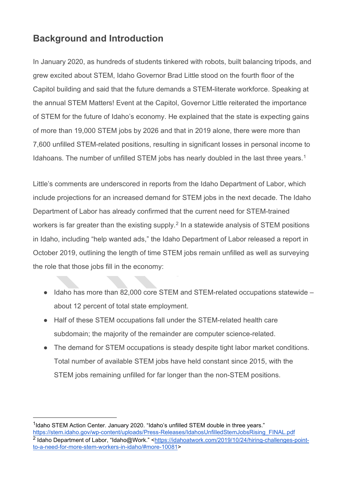# <span id="page-2-0"></span>**Background and Introduction**

In January 2020, as hundreds of students tinkered with robots, built balancing tripods, and grew excited about STEM, Idaho Governor Brad Little stood on the fourth floor of the Capitol building and said that the future demands a STEM-literate workforce. Speaking at the annual STEM Matters! Event at the Capitol, Governor Little reiterated the importance of STEM for the future of Idaho's economy. He explained that the state is expecting gains of more than 19,000 STEM jobs by 2026 and that in 2019 alone, there were more than 7,600 unfilled STEM-related positions, resulting in significant losses in personal income to Idahoans. The number of unfilled STEM jobs has nearly doubled in the last three years.<sup>[1](#page-2-1)</sup>

Little's comments are underscored in reports from the Idaho Department of Labor, which include projections for an increased demand for STEM jobs in the next decade. The Idaho Department of Labor has already confirmed that the current need for STEM-trained workers is far greater than the existing supply.<sup>[2](#page-2-2)</sup> In a statewide analysis of STEM positions in Idaho, including "help wanted ads," the Idaho Department of Labor released a report in October 2019, outlining the length of time STEM jobs remain unfilled as well as surveying the role that those jobs fill in the economy:

- Idaho has more than 82,000 core STEM and STEM-related occupations statewide about 12 percent of total state employment.
- Half of these STEM occupations fall under the STEM-related health care subdomain; the majority of the remainder are computer science-related.
- The demand for STEM occupations is steady despite tight labor market conditions. Total number of available STEM jobs have held constant since 2015, with the STEM jobs remaining unfilled for far longer than the non-STEM positions.

<span id="page-2-2"></span><span id="page-2-1"></span><sup>&</sup>lt;sup>1</sup>Idaho STEM Action Center. January 2020. "Idaho's unfilled STEM double in three years." [https://stem.idaho.gov/wp-content/uploads/Press-Releases/IdahosUnfilledStemJobsRising\\_FINAL.pdf](https://stem.idaho.gov/wp-content/uploads/Press-Releases/IdahosUnfilledStemJobsRising_FINAL.pdf) <sup>2</sup> Idaho Department of Labor, "Idaho@Work." [<https://idahoatwork.com/2019/10/24/hiring-challenges-point](https://idahoatwork.com/2019/10/24/hiring-challenges-point-to-a-need-for-more-stem-workers-in-idaho/#more-10081)[to-a-need-for-more-stem-workers-in-idaho/#more-10081>](https://idahoatwork.com/2019/10/24/hiring-challenges-point-to-a-need-for-more-stem-workers-in-idaho/#more-10081)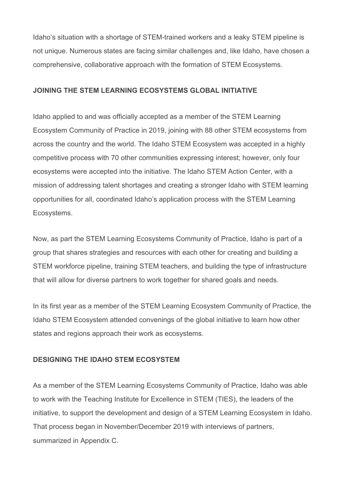Idaho's situation with a shortage of STEM-trained workers and a leaky STEM pipeline is not unique. Numerous states are facing similar challenges and, like Idaho, have chosen a comprehensive, collaborative approach with the formation of STEM Ecosystems.

#### <span id="page-3-0"></span>**JOINING THE STEM LEARNING ECOSYSTEMS GLOBAL INITIATIVE**

Idaho applied to and was officially accepted as a member of the STEM Learning Ecosystem Community of Practice in 2019, joining with 88 other STEM ecosystems from across the country and the world. The Idaho STEM Ecosystem was accepted in a highly competitive process with 70 other communities expressing interest; however, only four ecosystems were accepted into the initiative. The Idaho STEM Action Center, with a mission of addressing talent shortages and creating a stronger Idaho with STEM learning opportunities for all, coordinated Idaho's application process with the STEM Learning Ecosystems.

Now, as part the STEM Learning Ecosystems Community of Practice, Idaho is part of a group that shares strategies and resources with each other for creating and building a STEM workforce pipeline, training STEM teachers, and building the type of infrastructure that will allow for diverse partners to work together for shared goals and needs.

In its first year as a member of the STEM Learning Ecosystem Community of Practice, the Idaho STEM Ecosystem attended convenings of the global initiative to learn how other states and regions approach their work as ecosystems.

#### <span id="page-3-1"></span>**DESIGNING THE IDAHO STEM ECOSYSTEM**

As a member of the STEM Learning Ecosystems Community of Practice, Idaho was able to work with the Teaching Institute for Excellence in STEM (TIES), the leaders of the initiative, to support the development and design of a STEM Learning Ecosystem in Idaho. That process began in November/December 2019 with interviews of partners, summarized in Appendix C.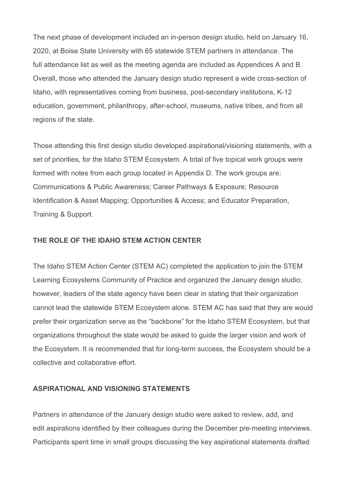The next phase of development included an in-person design studio, held on January 16, 2020, at Boise State University with 65 statewide STEM partners in attendance. The full attendance list as well as the meeting agenda are included as Appendices A and B. Overall, those who attended the January design studio represent a wide cross-section of Idaho, with representatives coming from business, post-secondary institutions, K-12 education, government, philanthropy, after-school, museums, native tribes, and from all regions of the state.

Those attending this first design studio developed aspirational/visioning statements, with a set of priorities, for the Idaho STEM Ecosystem. A total of five topical work groups were formed with notes from each group located in Appendix D. The work groups are: Communications & Public Awareness; Career Pathways & Exposure; Resource Identification & Asset Mapping; Opportunities & Access; and Educator Preparation, Training & Support.

#### <span id="page-4-0"></span>**THE ROLE OF THE IDAHO STEM ACTION CENTER**

The Idaho STEM Action Center (STEM AC) completed the application to join the STEM Learning Ecosystems Community of Practice and organized the January design studio; however, leaders of the state agency have been clear in stating that their organization cannot lead the statewide STEM Ecosystem alone. STEM AC has said that they are would prefer their organization serve as the "backbone" for the Idaho STEM Ecosystem, but that organizations throughout the state would be asked to guide the larger vision and work of the Ecosystem. It is recommended that for long-term success, the Ecosystem should be a collective and collaborative effort.

#### <span id="page-4-1"></span>**ASPIRATIONAL AND VISIONING STATEMENTS**

Partners in attendance of the January design studio were asked to review, add, and edit aspirations identified by their colleagues during the December pre-meeting interviews. Participants spent time in small groups discussing the key aspirational statements drafted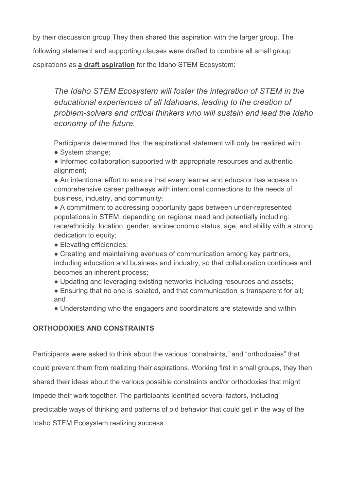by their discussion group They then shared this aspiration with the larger group. The following statement and supporting clauses were drafted to combine all small group aspirations as **a draft aspiration** for the Idaho STEM Ecosystem:

*The Idaho STEM Ecosystem will foster the integration of STEM in the educational experiences of all Idahoans, leading to the creation of problem-solvers and critical thinkers who will sustain and lead the Idaho economy of the future.* 

Participants determined that the aspirational statement will only be realized with:

• System change:

● Informed collaboration supported with appropriate resources and authentic alignment;

● An intentional effort to ensure that every learner and educator has access to comprehensive career pathways with intentional connections to the needs of business, industry, and community;

• A commitment to addressing opportunity gaps between under-represented populations in STEM, depending on regional need and potentially including: race/ethnicity, location, gender, socioeconomic status, age, and ability with a strong dedication to equity;

• Elevating efficiencies;

• Creating and maintaining avenues of communication among key partners, including education and business and industry, so that collaboration continues and becomes an inherent process;

• Updating and leveraging existing networks including resources and assets;

• Ensuring that no one is isolated, and that communication is transparent for all; and

• Understanding who the engagers and coordinators are statewide and within

## <span id="page-5-0"></span>**ORTHODOXIES AND CONSTRAINTS**

Participants were asked to think about the various "constraints," and "orthodoxies" that could prevent them from realizing their aspirations. Working first in small groups, they then shared their ideas about the various possible constraints and/or orthodoxies that might impede their work together. The participants identified several factors, including predictable ways of thinking and patterns of old behavior that could get in the way of the Idaho STEM Ecosystem realizing success.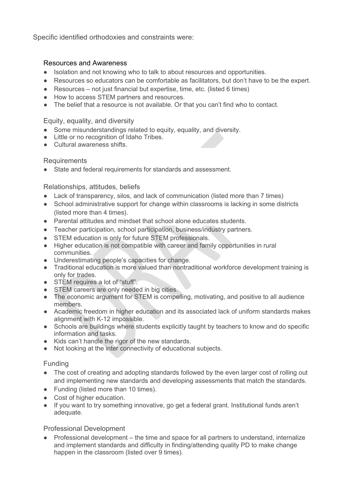Specific identified orthodoxies and constraints were:

#### Resources and Awareness

- Isolation and not knowing who to talk to about resources and opportunities.
- Resources so educators can be comfortable as facilitators, but don't have to be the expert.
- Resources not just financial but expertise, time, etc. (listed 6 times)
- How to access STEM partners and resources.
- The belief that a resource is not available. Or that you can't find who to contact.

#### Equity, equality, and diversity

- Some misunderstandings related to equity, equality, and diversity.
- Little or no recognition of Idaho Tribes.
- Cultural awareness shifts

### Requirements

● State and federal requirements for standards and assessment.

### Relationships, attitudes, beliefs

- Lack of transparency, silos, and lack of communication (listed more than 7 times)
- School administrative support for change within classrooms is lacking in some districts (listed more than 4 times).
- Parental attitudes and mindset that school alone educates students.
- Teacher participation, school participation, business/industry partners.
- STEM education is only for future STEM professionals.
- Higher education is not compatible with career and family opportunities in rural communities.
- Underestimating people's capacities for change.
- Traditional education is more valued than nontraditional workforce development training is only for trades.
- STEM requires a lot of "stuff".
- STEM careers are only needed in big cities.
- The economic argument for STEM is compelling, motivating, and positive to all audience members.
- Academic freedom in higher education and its associated lack of uniform standards makes alignment with K-12 impossible.
- Schools are buildings where students explicitly taught by teachers to know and do specific information and tasks.
- Kids can't handle the rigor of the new standards.
- Not looking at the inter connectivity of educational subjects.

### Funding

- The cost of creating and adopting standards followed by the even larger cost of rolling out and implementing new standards and developing assessments that match the standards.
- Funding (listed more than 10 times).
- Cost of higher education.
- If you want to try something innovative, go get a federal grant. Institutional funds aren't adequate.

### Professional Development

Professional development – the time and space for all partners to understand, internalize and implement standards and difficulty in finding/attending quality PD to make change happen in the classroom (listed over 9 times).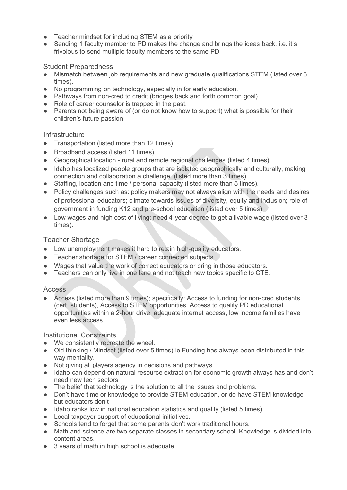- Teacher mindset for including STEM as a priority
- Sending 1 faculty member to PD makes the change and brings the ideas back, i.e. it's frivolous to send multiple faculty members to the same PD.

#### Student Preparedness

- Mismatch between job requirements and new graduate qualifications STEM (listed over 3 times).
- No programming on technology, especially in for early education.
- Pathways from non-cred to credit (bridges back and forth common goal).
- Role of career counselor is trapped in the past.
- Parents not being aware of (or do not know how to support) what is possible for their children's future passion

#### **Infrastructure**

- Transportation (listed more than 12 times).
- Broadband access (listed 11 times).
- Geographical location rural and remote regional challenges (listed 4 times).
- Idaho has localized people groups that are isolated geographically and culturally, making connection and collaboration a challenge. (listed more than 3 times).
- Staffing, location and time / personal capacity (listed more than 5 times).
- Policy challenges such as: policy makers may not always align with the needs and desires of professional educators; climate towards issues of diversity, equity and inclusion; role of government in funding K12 and pre-school education (listed over 5 times).
- Low wages and high cost of living; need 4-year degree to get a livable wage (listed over 3 times).

#### Teacher Shortage

- Low unemployment makes it hard to retain high-quality educators.
- Teacher shortage for STEM / career connected subjects.
- Wages that value the work of correct educators or bring in those educators.
- Teachers can only live in one lane and not teach new topics specific to CTE.

#### **Access**

● Access (listed more than 9 times); specifically: Access to funding for non-cred students (cert. students), Access to STEM opportunities, Access to quality PD educational opportunities within a 2-hour drive; adequate internet access, low income families have even less access.

Institutional Constraints

- We consistently recreate the wheel.
- Old thinking / Mindset (listed over 5 times) ie Funding has always been distributed in this way mentality.
- Not giving all players agency in decisions and pathways.
- Idaho can depend on natural resource extraction for economic growth always has and don't need new tech sectors.
- The belief that technology is the solution to all the issues and problems.
- Don't have time or knowledge to provide STEM education, or do have STEM knowledge but educators don't
- Idaho ranks low in national education statistics and quality (listed 5 times).
- Local taxpayer support of educational initiatives.
- Schools tend to forget that some parents don't work traditional hours.
- Math and science are two separate classes in secondary school. Knowledge is divided into content areas.
- 3 years of math in high school is adequate.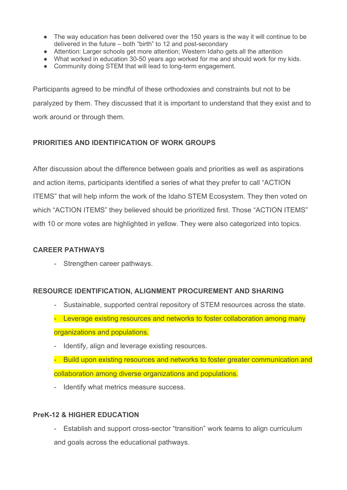- The way education has been delivered over the 150 years is the way it will continue to be delivered in the future – both "birth" to 12 and post-secondary
- Attention: Larger schools get more attention; Western Idaho gets all the attention
- What worked in education 30-50 years ago worked for me and should work for my kids.
- Community doing STEM that will lead to long-term engagement.

Participants agreed to be mindful of these orthodoxies and constraints but not to be paralyzed by them. They discussed that it is important to understand that they exist and to work around or through them.

### <span id="page-8-0"></span>**PRIORITIES AND IDENTIFICATION OF WORK GROUPS**

After discussion about the difference between goals and priorities as well as aspirations and action items, participants identified a series of what they prefer to call "ACTION ITEMS" that will help inform the work of the Idaho STEM Ecosystem. They then voted on which "ACTION ITEMS" they believed should be prioritized first. Those "ACTION ITEMS" with 10 or more votes are highlighted in yellow. They were also categorized into topics.

#### **CAREER PATHWAYS**

- Strengthen career pathways.

### **RESOURCE IDENTIFICATION, ALIGNMENT PROCUREMENT AND SHARING**

- Sustainable, supported central repository of STEM resources across the state. - Leverage existing resources and networks to foster collaboration among many organizations and populations.
- Identify, align and leverage existing resources.
- Build upon existing resources and networks to foster greater communication and collaboration among diverse organizations and populations.
- Identify what metrics measure success.

### **PreK-12 & HIGHER EDUCATION**

- Establish and support cross-sector "transition" work teams to align curriculum and goals across the educational pathways.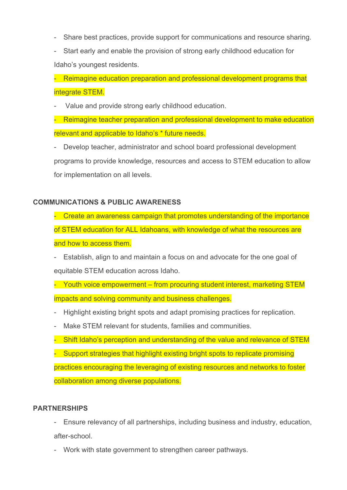- Share best practices, provide support for communications and resource sharing.
- Start early and enable the provision of strong early childhood education for Idaho's youngest residents.

- Reimagine education preparation and professional development programs that integrate STEM.

Value and provide strong early childhood education.

- Reimagine teacher preparation and professional development to make education relevant and applicable to Idaho's \* future needs.

- Develop teacher, administrator and school board professional development programs to provide knowledge, resources and access to STEM education to allow for implementation on all levels.

### **COMMUNICATIONS & PUBLIC AWARENESS**

- Create an awareness campaign that promotes understanding of the importance of STEM education for ALL Idahoans, with knowledge of what the resources are and how to access them.

- Establish, align to and maintain a focus on and advocate for the one goal of equitable STEM education across Idaho.

- Youth voice empowerment – from procuring student interest, marketing STEM impacts and solving community and business challenges.

- Highlight existing bright spots and adapt promising practices for replication.
- Make STEM relevant for students, families and communities.

- Shift Idaho's perception and understanding of the value and relevance of STEM

- Support strategies that highlight existing bright spots to replicate promising practices encouraging the leveraging of existing resources and networks to foster collaboration among diverse populations.

#### **PARTNERSHIPS**

- Ensure relevancy of all partnerships, including business and industry, education, after-school.

- Work with state government to strengthen career pathways.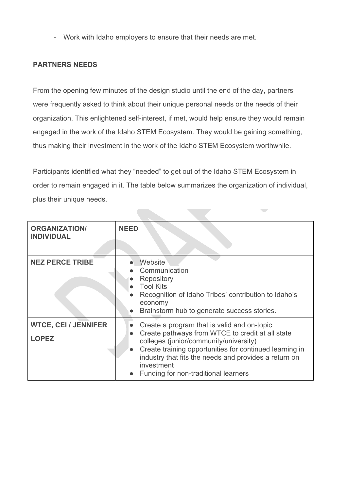- Work with Idaho employers to ensure that their needs are met.

#### <span id="page-10-0"></span>**PARTNERS NEEDS**

From the opening few minutes of the design studio until the end of the day, partners were frequently asked to think about their unique personal needs or the needs of their organization. This enlightened self-interest, if met, would help ensure they would remain engaged in the work of the Idaho STEM Ecosystem. They would be gaining something, thus making their investment in the work of the Idaho STEM Ecosystem worthwhile.

Participants identified what they "needed" to get out of the Idaho STEM Ecosystem in order to remain engaged in it. The table below summarizes the organization of individual, plus their unique needs.

 $\sim$ 

| <b>ORGANIZATION/</b><br><b>INDIVIDUAL</b>   | <b>NEED</b>                                                                                                                                                                                                                                                                                                                      |
|---------------------------------------------|----------------------------------------------------------------------------------------------------------------------------------------------------------------------------------------------------------------------------------------------------------------------------------------------------------------------------------|
| <b>NEZ PERCE TRIBE</b>                      | Website<br>Communication<br>Repository<br><b>Tool Kits</b><br>Recognition of Idaho Tribes' contribution to Idaho's<br>economy<br>Brainstorm hub to generate success stories.                                                                                                                                                     |
| <b>WTCE, CEI / JENNIFER</b><br><b>LOPEZ</b> | Create a program that is valid and on-topic<br>Create pathways from WTCE to credit at all state<br>$\bullet$<br>colleges (junior/community/university)<br>Create training opportunities for continued learning in<br>industry that fits the needs and provides a return on<br>investment<br>Funding for non-traditional learners |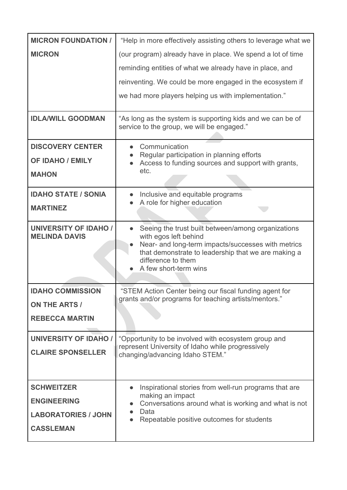| <b>MICRON FOUNDATION /</b>                           | "Help in more effectively assisting others to leverage what we                                                                                                                                                                          |  |  |  |  |
|------------------------------------------------------|-----------------------------------------------------------------------------------------------------------------------------------------------------------------------------------------------------------------------------------------|--|--|--|--|
| <b>MICRON</b>                                        | (our program) already have in place. We spend a lot of time                                                                                                                                                                             |  |  |  |  |
|                                                      | reminding entities of what we already have in place, and                                                                                                                                                                                |  |  |  |  |
|                                                      | reinventing. We could be more engaged in the ecosystem if                                                                                                                                                                               |  |  |  |  |
|                                                      | we had more players helping us with implementation."                                                                                                                                                                                    |  |  |  |  |
| <b>IDLA/WILL GOODMAN</b>                             | "As long as the system is supporting kids and we can be of<br>service to the group, we will be engaged."                                                                                                                                |  |  |  |  |
| <b>DISCOVERY CENTER</b>                              | Communication                                                                                                                                                                                                                           |  |  |  |  |
| <b>OF IDAHO / EMILY</b>                              | Regular participation in planning efforts<br>Access to funding sources and support with grants,                                                                                                                                         |  |  |  |  |
| <b>MAHON</b>                                         | etc.                                                                                                                                                                                                                                    |  |  |  |  |
| <b>IDAHO STATE / SONIA</b>                           | Inclusive and equitable programs                                                                                                                                                                                                        |  |  |  |  |
| <b>MARTINEZ</b>                                      | A role for higher education                                                                                                                                                                                                             |  |  |  |  |
| <b>UNIVERSITY OF IDAHO /</b><br><b>MELINDA DAVIS</b> | Seeing the trust built between/among organizations<br>with egos left behind<br>Near- and long-term impacts/successes with metrics<br>that demonstrate to leadership that we are making a<br>difference to them<br>A few short-term wins |  |  |  |  |
| <b>IDAHO COMMISSION</b>                              | "STEM Action Center being our fiscal funding agent for<br>grants and/or programs for teaching artists/mentors."                                                                                                                         |  |  |  |  |
| <b>ON THE ARTS /</b>                                 |                                                                                                                                                                                                                                         |  |  |  |  |
| <b>REBECCA MARTIN</b>                                |                                                                                                                                                                                                                                         |  |  |  |  |
| <b>UNIVERSITY OF IDAHO /</b>                         | "Opportunity to be involved with ecosystem group and                                                                                                                                                                                    |  |  |  |  |
| <b>CLAIRE SPONSELLER</b>                             | represent University of Idaho while progressively<br>changing/advancing Idaho STEM."                                                                                                                                                    |  |  |  |  |
|                                                      |                                                                                                                                                                                                                                         |  |  |  |  |
| <b>SCHWEITZER</b>                                    | Inspirational stories from well-run programs that are                                                                                                                                                                                   |  |  |  |  |
| <b>ENGINEERING</b>                                   | making an impact<br>Conversations around what is working and what is not                                                                                                                                                                |  |  |  |  |
| <b>LABORATORIES / JOHN</b>                           | Data<br>Repeatable positive outcomes for students                                                                                                                                                                                       |  |  |  |  |
| <b>CASSLEMAN</b>                                     |                                                                                                                                                                                                                                         |  |  |  |  |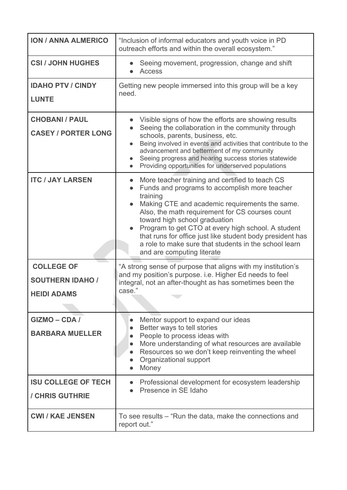| <b>ION / ANNA ALMERICO</b>                                         | "Inclusion of informal educators and youth voice in PD<br>outreach efforts and within the overall ecosystem."                                                                                                                                                                                                                                                                                                                                                |  |  |  |  |
|--------------------------------------------------------------------|--------------------------------------------------------------------------------------------------------------------------------------------------------------------------------------------------------------------------------------------------------------------------------------------------------------------------------------------------------------------------------------------------------------------------------------------------------------|--|--|--|--|
| <b>CSI / JOHN HUGHES</b>                                           | Seeing movement, progression, change and shift<br><b>Access</b>                                                                                                                                                                                                                                                                                                                                                                                              |  |  |  |  |
| <b>IDAHO PTV / CINDY</b><br><b>LUNTE</b>                           | Getting new people immersed into this group will be a key<br>need.                                                                                                                                                                                                                                                                                                                                                                                           |  |  |  |  |
| <b>CHOBANI / PAUL</b><br><b>CASEY / PORTER LONG</b>                | Visible signs of how the efforts are showing results<br>Seeing the collaboration in the community through<br>schools, parents, business, etc.<br>Being involved in events and activities that contribute to the<br>advancement and betterment of my community<br>Seeing progress and hearing success stories statewide<br>Providing opportunities for underserved populations                                                                                |  |  |  |  |
| <b>ITC / JAY LARSEN</b>                                            | More teacher training and certified to teach CS<br>Funds and programs to accomplish more teacher<br>training<br>Making CTE and academic requirements the same.<br>Also, the math requirement for CS courses count<br>toward high school graduation<br>Program to get CTO at every high school. A student<br>that runs for office just like student body president has<br>a role to make sure that students in the school learn<br>and are computing literate |  |  |  |  |
| <b>COLLEGE OF</b><br><b>SOUTHERN IDAHO /</b><br><b>HEIDI ADAMS</b> | "A strong sense of purpose that aligns with my institution's<br>and my position's purpose. i.e. Higher Ed needs to feel<br>integral, not an after-thought as has sometimes been the<br>case."                                                                                                                                                                                                                                                                |  |  |  |  |
| GIZMO-CDA/<br><b>BARBARA MUELLER</b>                               | Mentor support to expand our ideas<br>Better ways to tell stories<br>People to process ideas with<br>More understanding of what resources are available<br>$\bullet$<br>Resources so we don't keep reinventing the wheel<br>$\bullet$<br>Organizational support<br>Money                                                                                                                                                                                     |  |  |  |  |
| <b>ISU COLLEGE OF TECH</b><br>/ CHRIS GUTHRIE                      | Professional development for ecosystem leadership<br>Presence in SE Idaho                                                                                                                                                                                                                                                                                                                                                                                    |  |  |  |  |
| <b>CWI / KAE JENSEN</b>                                            | To see results – "Run the data, make the connections and<br>report out."                                                                                                                                                                                                                                                                                                                                                                                     |  |  |  |  |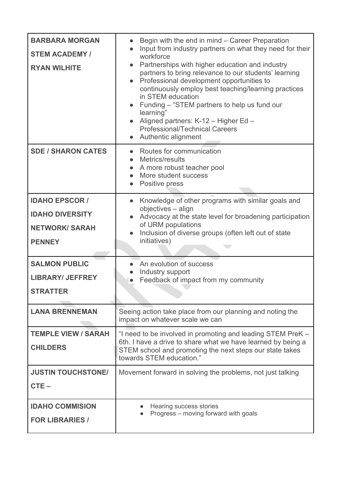| <b>BARBARA MORGAN</b><br><b>STEM ACADEMY /</b><br><b>RYAN WILHITE</b>                     | Begin with the end in mind - Career Preparation<br>Input from industry partners on what they need for their<br>workforce<br>Partnerships with higher education and industry<br>partners to bring relevance to our students' learning<br>Professional development opportunities to<br>continuously employ best teaching/learning practices<br>in STEM education<br>Funding – "STEM partners to help us fund our<br>learning"<br>Aligned partners: K-12 - Higher Ed -<br><b>Professional/Technical Careers</b><br>Authentic alignment |  |  |  |
|-------------------------------------------------------------------------------------------|-------------------------------------------------------------------------------------------------------------------------------------------------------------------------------------------------------------------------------------------------------------------------------------------------------------------------------------------------------------------------------------------------------------------------------------------------------------------------------------------------------------------------------------|--|--|--|
| <b>SDE / SHARON CATES</b>                                                                 | Routes for communication<br>Metrics/results<br>$\bullet$<br>A more robust teacher pool<br>More student success<br>Positive press                                                                                                                                                                                                                                                                                                                                                                                                    |  |  |  |
| <b>IDAHO EPSCOR /</b><br><b>IDAHO DIVERSITY</b><br><b>NETWORK/ SARAH</b><br><b>PENNEY</b> | Knowledge of other programs with similar goals and<br>objectives - align<br>Advocacy at the state level for broadening participation<br>of URM populations<br>Inclusion of diverse groups (often left out of state<br>initiatives)                                                                                                                                                                                                                                                                                                  |  |  |  |
| <b>SALMON PUBLIC</b><br><b>LIBRARY/ JEFFREY</b><br><b>STRATTER</b>                        | An evolution of success<br>Industry support<br>Feedback of impact from my community                                                                                                                                                                                                                                                                                                                                                                                                                                                 |  |  |  |
| <b>LANA BRENNEMAN</b>                                                                     | Seeing action take place from our planning and noting the<br>impact on whatever scale we can                                                                                                                                                                                                                                                                                                                                                                                                                                        |  |  |  |
| <b>TEMPLE VIEW / SARAH</b><br><b>CHILDERS</b>                                             | "I need to be involved in promoting and leading STEM PreK -<br>6th. I have a drive to share what we have learned by being a<br>STEM school and promoting the next steps our state takes<br>towards STEM education."                                                                                                                                                                                                                                                                                                                 |  |  |  |
| <b>JUSTIN TOUCHSTONE/</b><br>$CTE -$                                                      | Movement forward in solving the problems, not just talking                                                                                                                                                                                                                                                                                                                                                                                                                                                                          |  |  |  |
| <b>IDAHO COMMISION</b><br><b>FOR LIBRARIES /</b>                                          | Hearing success stories<br>Progress – moving forward with goals                                                                                                                                                                                                                                                                                                                                                                                                                                                                     |  |  |  |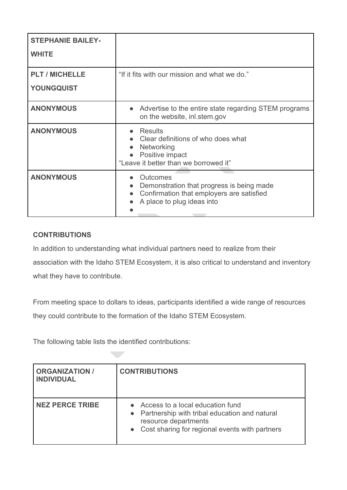| <b>STEPHANIE BAILEY-</b><br><b>WHITE</b>   |                                                                                                                                               |
|--------------------------------------------|-----------------------------------------------------------------------------------------------------------------------------------------------|
| <b>PLT / MICHELLE</b><br><b>YOUNGQUIST</b> | "If it fits with our mission and what we do."                                                                                                 |
| <b>ANONYMOUS</b>                           | Advertise to the entire state regarding STEM programs<br>on the website, inl.stem.gov                                                         |
| <b>ANONYMOUS</b>                           | Results<br>• Clear definitions of who does what<br>Networking<br>$\bullet$<br>Positive impact<br>"Leave it better than we borrowed it"        |
| <b>ANONYMOUS</b>                           | Outcomes<br>Demonstration that progress is being made<br>$\bullet$<br>Confirmation that employers are satisfied<br>A place to plug ideas into |

### <span id="page-14-0"></span>**CONTRIBUTIONS**

In addition to understanding what individual partners need to realize from their association with the Idaho STEM Ecosystem, it is also critical to understand and inventory what they have to contribute.

From meeting space to dollars to ideas, participants identified a wide range of resources they could contribute to the formation of the Idaho STEM Ecosystem.

The following table lists the identified contributions:

| <b>ORGANIZATION /</b><br><b>INDIVIDUAL</b> | <b>CONTRIBUTIONS</b>                                                                                                                                              |
|--------------------------------------------|-------------------------------------------------------------------------------------------------------------------------------------------------------------------|
| <b>NEZ PERCE TRIBE</b>                     | • Access to a local education fund<br>• Partnership with tribal education and natural<br>resource departments<br>• Cost sharing for regional events with partners |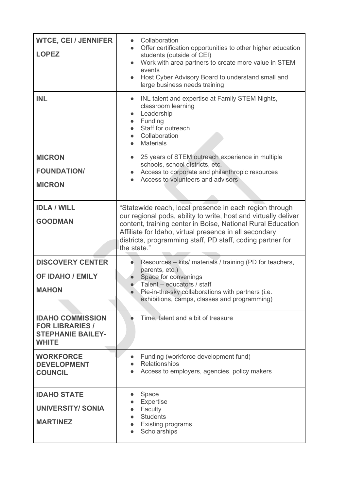| <b>WTCE, CEI / JENNIFER</b><br><b>LOPEZ</b>                                                   | Collaboration<br>Offer certification opportunities to other higher education<br>$\bullet$<br>students (outside of CEI)<br>Work with area partners to create more value in STEM<br>events<br>Host Cyber Advisory Board to understand small and<br>large business needs training                                                   |  |  |  |
|-----------------------------------------------------------------------------------------------|----------------------------------------------------------------------------------------------------------------------------------------------------------------------------------------------------------------------------------------------------------------------------------------------------------------------------------|--|--|--|
| <b>INL</b>                                                                                    | INL talent and expertise at Family STEM Nights,<br>classroom learning<br>Leadership<br>$\bullet$<br>Funding<br>Staff for outreach<br>Collaboration<br><b>Materials</b>                                                                                                                                                           |  |  |  |
| <b>MICRON</b><br><b>FOUNDATION/</b><br><b>MICRON</b>                                          | 25 years of STEM outreach experience in multiple<br>schools, school districts, etc.<br>Access to corporate and philanthropic resources<br>Access to volunteers and advisors                                                                                                                                                      |  |  |  |
| <b>IDLA / WILL</b><br><b>GOODMAN</b>                                                          | "Statewide reach, local presence in each region through<br>our regional pods, ability to write, host and virtually deliver<br>content, training center in Boise, National Rural Education<br>Affiliate for Idaho, virtual presence in all secondary<br>districts, programming staff, PD staff, coding partner for<br>the state.' |  |  |  |
| <b>DISCOVERY CENTER</b><br><b>OF IDAHO / EMILY</b><br><b>MAHON</b>                            | Resources - kits/ materials / training (PD for teachers,<br>parents, etc.)<br>Space for convenings<br>Talent - educators / staff<br>Pie-in-the-sky collaborations with partners ( <i>i.e.</i><br>exhibitions, camps, classes and programming)                                                                                    |  |  |  |
| <b>IDAHO COMMISSION</b><br><b>FOR LIBRARIES /</b><br><b>STEPHANIE BAILEY-</b><br><b>WHITE</b> | Time, talent and a bit of treasure                                                                                                                                                                                                                                                                                               |  |  |  |
| <b>WORKFORCE</b><br><b>DEVELOPMENT</b><br><b>COUNCIL</b>                                      | Funding (workforce development fund)<br>Relationships<br>Access to employers, agencies, policy makers                                                                                                                                                                                                                            |  |  |  |
| <b>IDAHO STATE</b><br><b>UNIVERSITY/ SONIA</b><br><b>MARTINEZ</b>                             | Space<br><b>Expertise</b><br>Faculty<br><b>Students</b><br><b>Existing programs</b><br>Scholarships                                                                                                                                                                                                                              |  |  |  |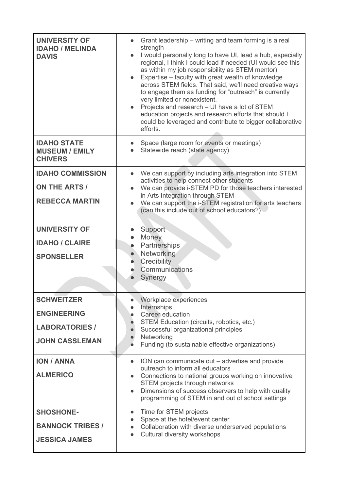| <b>UNIVERSITY OF</b><br><b>IDAHO / MELINDA</b><br><b>DAVIS</b> | Grant leadership – writing and team forming is a real<br>strength<br>I would personally long to have UI, lead a hub, especially<br>$\bullet$<br>regional, I think I could lead if needed (UI would see this<br>as within my job responsibility as STEM mentor)<br>Expertise – faculty with great wealth of knowledge<br>across STEM fields. That said, we'll need creative ways<br>to engage them as funding for "outreach" is currently<br>very limited or nonexistent.<br>Projects and research - UI have a lot of STEM<br>education projects and research efforts that should I<br>could be leveraged and contribute to bigger collaborative<br>efforts. |
|----------------------------------------------------------------|-------------------------------------------------------------------------------------------------------------------------------------------------------------------------------------------------------------------------------------------------------------------------------------------------------------------------------------------------------------------------------------------------------------------------------------------------------------------------------------------------------------------------------------------------------------------------------------------------------------------------------------------------------------|
| <b>IDAHO STATE</b><br><b>MUSEUM / EMILY</b><br><b>CHIVERS</b>  | Space (large room for events or meetings)<br>Statewide reach (state agency)                                                                                                                                                                                                                                                                                                                                                                                                                                                                                                                                                                                 |
| <b>IDAHO COMMISSION</b>                                        | We can support by including arts integration into STEM<br>activities to help connect other students                                                                                                                                                                                                                                                                                                                                                                                                                                                                                                                                                         |
| <b>ON THE ARTS /</b>                                           | We can provide i-STEM PD for those teachers interested<br>in Arts Integration through STEM                                                                                                                                                                                                                                                                                                                                                                                                                                                                                                                                                                  |
| <b>REBECCA MARTIN</b>                                          | We can support the i-STEM registration for arts teachers<br>(can this include out of school educators?)                                                                                                                                                                                                                                                                                                                                                                                                                                                                                                                                                     |
| <b>UNIVERSITY OF</b>                                           | Support                                                                                                                                                                                                                                                                                                                                                                                                                                                                                                                                                                                                                                                     |
| <b>IDAHO / CLAIRE</b>                                          | Money<br>Partnerships<br>$\bullet$                                                                                                                                                                                                                                                                                                                                                                                                                                                                                                                                                                                                                          |
| <b>SPONSELLER</b>                                              | Networking<br>Credibility<br>Communications<br>Synergy                                                                                                                                                                                                                                                                                                                                                                                                                                                                                                                                                                                                      |
| <b>SCHWEITZER</b>                                              | Workplace experiences<br>Internships                                                                                                                                                                                                                                                                                                                                                                                                                                                                                                                                                                                                                        |
| <b>ENGINEERING</b>                                             | Career education<br>STEM Education (circuits, robotics, etc.)                                                                                                                                                                                                                                                                                                                                                                                                                                                                                                                                                                                               |
| <b>LABORATORIES /</b>                                          | Successful organizational principles<br>Networking                                                                                                                                                                                                                                                                                                                                                                                                                                                                                                                                                                                                          |
| <b>JOHN CASSLEMAN</b>                                          | Funding (to sustainable effective organizations)                                                                                                                                                                                                                                                                                                                                                                                                                                                                                                                                                                                                            |
| <b>ION / ANNA</b>                                              | ION can communicate out – advertise and provide<br>$\bullet$<br>outreach to inform all educators                                                                                                                                                                                                                                                                                                                                                                                                                                                                                                                                                            |
| <b>ALMERICO</b>                                                | Connections to national groups working on innovative<br>STEM projects through networks                                                                                                                                                                                                                                                                                                                                                                                                                                                                                                                                                                      |
|                                                                | Dimensions of success observers to help with quality<br>$\bullet$<br>programming of STEM in and out of school settings                                                                                                                                                                                                                                                                                                                                                                                                                                                                                                                                      |
| <b>SHOSHONE-</b>                                               | Time for STEM projects<br>$\bullet$<br>Space at the hotel/event center<br>$\bullet$                                                                                                                                                                                                                                                                                                                                                                                                                                                                                                                                                                         |
| <b>BANNOCK TRIBES /</b>                                        | Collaboration with diverse underserved populations<br>$\bullet$<br>Cultural diversity workshops                                                                                                                                                                                                                                                                                                                                                                                                                                                                                                                                                             |
| <b>JESSICA JAMES</b>                                           |                                                                                                                                                                                                                                                                                                                                                                                                                                                                                                                                                                                                                                                             |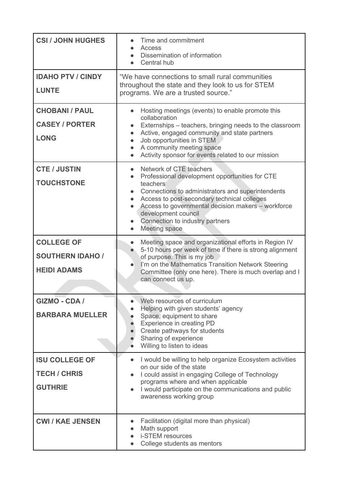| <b>CSI / JOHN HUGHES</b>                                           | Time and commitment<br>Access<br>Dissemination of information<br>Central hub                                                                                                                                                                                                                                                                                                   |  |  |  |
|--------------------------------------------------------------------|--------------------------------------------------------------------------------------------------------------------------------------------------------------------------------------------------------------------------------------------------------------------------------------------------------------------------------------------------------------------------------|--|--|--|
| <b>IDAHO PTV / CINDY</b><br><b>LUNTE</b>                           | "We have connections to small rural communities<br>throughout the state and they look to us for STEM<br>programs. We are a trusted source."                                                                                                                                                                                                                                    |  |  |  |
| <b>CHOBANI / PAUL</b><br><b>CASEY / PORTER</b><br><b>LONG</b>      | Hosting meetings (events) to enable promote this<br>collaboration<br>Externships – teachers, bringing needs to the classroom<br>Active, engaged community and state partners<br>$\bullet$<br>Job opportunities in STEM<br>$\bullet$<br>A community meeting space<br>$\bullet$<br>Activity sponsor for events related to our mission                                            |  |  |  |
| <b>CTE / JUSTIN</b><br><b>TOUCHSTONE</b>                           | Network of CTE teachers<br>Professional development opportunities for CTE<br>$\bullet$<br>teachers <sup>®</sup><br>Connections to administrators and superintendents<br>Access to post-secondary technical colleges<br>$\bullet$<br>Access to governmental decision makers - workforce<br>$\bullet$<br>development council<br>Connection to industry partners<br>Meeting space |  |  |  |
| <b>COLLEGE OF</b><br><b>SOUTHERN IDAHO /</b><br><b>HEIDI ADAMS</b> | Meeting space and organizational efforts in Region IV<br>$\bullet$<br>5-10 hours per week of time if there is strong alignment<br>of purpose. This is my job<br>I'm on the Mathematics Transition Network Steering<br>Committee (only one here). There is much overlap and I<br>can connect us up.                                                                             |  |  |  |
| <b>GIZMO - CDA /</b><br><b>BARBARA MUELLER</b>                     | Web resources of curriculum<br>Helping with given students' agency<br>Space, equipment to share<br>Experience in creating PD<br>Create pathways for students<br>Sharing of experience<br>Willing to listen to ideas                                                                                                                                                            |  |  |  |
| <b>ISU COLLEGE OF</b><br><b>TECH / CHRIS</b><br><b>GUTHRIE</b>     | I would be willing to help organize Ecosystem activities<br>$\bullet$<br>on our side of the state<br>I could assist in engaging College of Technology<br>programs where and when applicable<br>I would participate on the communications and public<br>awareness working group                                                                                                 |  |  |  |
| <b>CWI / KAE JENSEN</b>                                            | Facilitation (digital more than physical)<br>Math support<br>i-STEM resources<br>College students as mentors                                                                                                                                                                                                                                                                   |  |  |  |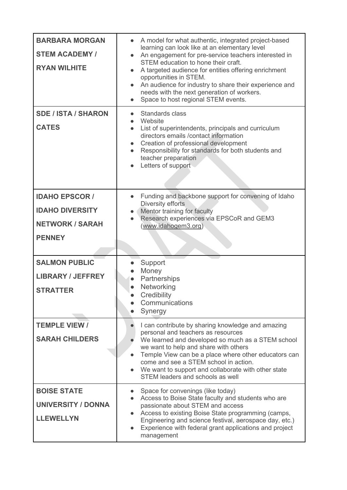| <b>BARBARA MORGAN</b><br><b>STEM ACADEMY /</b><br><b>RYAN WILHITE</b><br><b>SDE / ISTA / SHARON</b><br><b>CATES</b> | A model for what authentic, integrated project-based<br>$\bullet$<br>learning can look like at an elementary level<br>An engagement for pre-service teachers interested in<br>STEM education to hone their craft.<br>A targeted audience for entities offering enrichment<br>opportunities in STEM.<br>An audience for industry to share their experience and<br>needs with the next generation of workers.<br>Space to host regional STEM events.<br>$\bullet$<br>Standards class<br>Website<br>List of superintendents, principals and curriculum<br>$\bullet$<br>directors emails / contact information<br>Creation of professional development<br>$\bullet$<br>Responsibility for standards for both students and<br>teacher preparation<br>Letters of support |
|---------------------------------------------------------------------------------------------------------------------|--------------------------------------------------------------------------------------------------------------------------------------------------------------------------------------------------------------------------------------------------------------------------------------------------------------------------------------------------------------------------------------------------------------------------------------------------------------------------------------------------------------------------------------------------------------------------------------------------------------------------------------------------------------------------------------------------------------------------------------------------------------------|
| <b>IDAHO EPSCOR /</b><br><b>IDAHO DIVERSITY</b><br><b>NETWORK / SARAH</b><br><b>PENNEY</b>                          | Funding and backbone support for convening of Idaho<br>Diversity efforts<br>Mentor training for faculty<br>Research experiences via EPSCoR and GEM3<br>(www.idahogem3.org)                                                                                                                                                                                                                                                                                                                                                                                                                                                                                                                                                                                         |
| <b>SALMON PUBLIC</b><br><b>LIBRARY / JEFFREY</b><br><b>STRATTER</b>                                                 | Support<br>Money<br>Partnerships<br>Networking<br>Credibility<br>Communications<br>Synergy                                                                                                                                                                                                                                                                                                                                                                                                                                                                                                                                                                                                                                                                         |
| <b>TEMPLE VIEW /</b><br><b>SARAH CHILDERS</b>                                                                       | I can contribute by sharing knowledge and amazing<br>personal and teachers as resources<br>We learned and developed so much as a STEM school<br>we want to help and share with others<br>Temple View can be a place where other educators can<br>$\bullet$<br>come and see a STEM school in action.<br>We want to support and collaborate with other state<br>STEM leaders and schools as well                                                                                                                                                                                                                                                                                                                                                                     |
| <b>BOISE STATE</b><br><b>UNIVERSITY / DONNA</b><br><b>LLEWELLYN</b>                                                 | Space for convenings (like today)<br>Access to Boise State faculty and students who are<br>passionate about STEM and access<br>Access to existing Boise State programming (camps,<br>Engineering and science festival, aerospace day, etc.)<br>Experience with federal grant applications and project<br>$\bullet$<br>management                                                                                                                                                                                                                                                                                                                                                                                                                                   |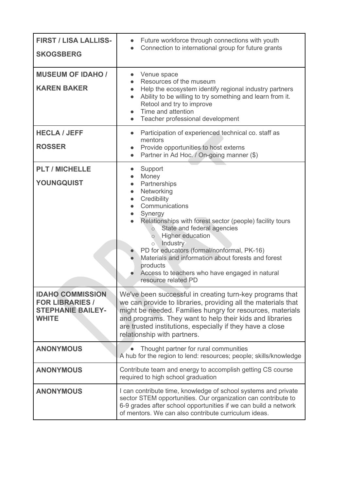| <b>FIRST / LISA LALLISS-</b><br><b>SKOGSBERG</b>                                              | Future workforce through connections with youth<br>$\bullet$<br>Connection to international group for future grants                                                                                                                                                                                                                                                                                                                                                                                                    |  |  |
|-----------------------------------------------------------------------------------------------|------------------------------------------------------------------------------------------------------------------------------------------------------------------------------------------------------------------------------------------------------------------------------------------------------------------------------------------------------------------------------------------------------------------------------------------------------------------------------------------------------------------------|--|--|
| <b>MUSEUM OF IDAHO /</b><br><b>KAREN BAKER</b>                                                | Venue space<br>Resources of the museum<br>Help the ecosystem identify regional industry partners<br>$\bullet$<br>Ability to be willing to try something and learn from it.<br>$\bullet$<br>Retool and try to improve<br>Time and attention<br>$\bullet$<br>Teacher professional development<br>$\bullet$                                                                                                                                                                                                               |  |  |
| <b>HECLA / JEFF</b><br><b>ROSSER</b>                                                          | Participation of experienced technical co. staff as<br>$\bullet$<br>mentors<br>Provide opportunities to host externs<br>Partner in Ad Hoc. / On-going manner (\$)                                                                                                                                                                                                                                                                                                                                                      |  |  |
| <b>PLT / MICHELLE</b><br><b>YOUNGQUIST</b>                                                    | Support<br>Money<br>$\bullet$<br>Partnerships<br>$\bullet$<br>Networking<br>$\bullet$<br>Credibility<br>$\bullet$<br>Communications<br>$\bullet$<br>Synergy<br>Relationships with forest sector (people) facility tours<br>State and federal agencies<br>$\circ$<br><b>Higher education</b><br>$\circ$<br>Industry<br>$\circ$<br>PD for educators (formal/nonformal, PK-16)<br>Materials and information about forests and forest<br>products<br>Access to teachers who have engaged in natural<br>resource related PD |  |  |
| <b>IDAHO COMMISSION</b><br><b>FOR LIBRARIES /</b><br><b>STEPHANIE BAILEY-</b><br><b>WHITE</b> | We've been successful in creating turn-key programs that<br>we can provide to libraries, providing all the materials that<br>might be needed. Families hungry for resources, materials<br>and programs. They want to help their kids and libraries<br>are trusted institutions, especially if they have a close<br>relationship with partners.                                                                                                                                                                         |  |  |
| <b>ANONYMOUS</b>                                                                              | Thought partner for rural communities<br>A hub for the region to lend: resources; people; skills/knowledge                                                                                                                                                                                                                                                                                                                                                                                                             |  |  |
| <b>ANONYMOUS</b>                                                                              | Contribute team and energy to accomplish getting CS course<br>required to high school graduation                                                                                                                                                                                                                                                                                                                                                                                                                       |  |  |
| <b>ANONYMOUS</b>                                                                              | I can contribute time, knowledge of school systems and private<br>sector STEM opportunities. Our organization can contribute to<br>6-9 grades after school opportunities if we can build a network<br>of mentors. We can also contribute curriculum ideas.                                                                                                                                                                                                                                                             |  |  |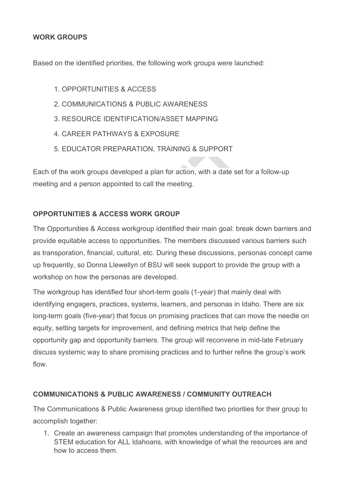### <span id="page-20-0"></span>**WORK GROUPS**

Based on the identified priorities, the following work groups were launched:

- 1. OPPORTUNITIES & ACCESS
- 2. COMMUNICATIONS & PUBLIC AWARENESS
- 3. RESOURCE IDENTIFICATION/ASSET MAPPING
- 4. CAREER PATHWAYS & EXPOSURE
- 5. EDUCATOR PREPARATION, TRAINING & SUPPORT

Each of the work groups developed a plan for action, with a date set for a follow-up meeting and a person appointed to call the meeting.

### **OPPORTUNITIES & ACCESS WORK GROUP**

The Opportunities & Access workgroup identified their main goal: break down barriers and provide equitable access to opportunities. The members discussed various barriers such as transporation, financial, cultural, etc. During these discussions, personas concept came up frequently, so Donna Llewellyn of BSU will seek support to provide the group with a workshop on how the personas are developed.

The workgroup has identified four short-term goals (1-year) that mainly deal with identifying engagers, practices, systems, learners, and personas in Idaho. There are six long-term goals (five-year) that focus on promising practices that can move the needle on equity, setting targets for improvement, and defining metrics that help define the opportunity gap and opportunity barriers. The group will reconvene in mid-late February discuss systemic way to share promising practices and to further refine the group's work flow.

### **COMMUNICATIONS & PUBLIC AWARENESS / COMMUNITY OUTREACH**

The Communications & Public Awareness group identified two priorities for their group to accomplish together:

1. Create an awareness campaign that promotes understanding of the importance of STEM education for ALL Idahoans, with knowledge of what the resources are and how to access them.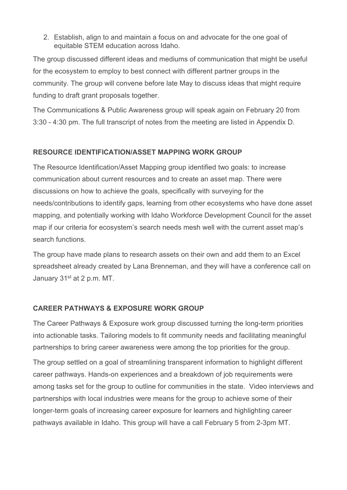2. Establish, align to and maintain a focus on and advocate for the one goal of equitable STEM education across Idaho.

The group discussed different ideas and mediums of communication that might be useful for the ecosystem to employ to best connect with different partner groups in the community. The group will convene before late May to discuss ideas that might require funding to draft grant proposals together.

The Communications & Public Awareness group will speak again on February 20 from 3:30 - 4:30 pm. The full transcript of notes from the meeting are listed in Appendix D.

### **RESOURCE IDENTIFICATION/ASSET MAPPING WORK GROUP**

The Resource Identification/Asset Mapping group identified two goals: to increase communication about current resources and to create an asset map. There were discussions on how to achieve the goals, specifically with surveying for the needs/contributions to identify gaps, learning from other ecosystems who have done asset mapping, and potentially working with Idaho Workforce Development Council for the asset map if our criteria for ecosystem's search needs mesh well with the current asset map's search functions.

The group have made plans to research assets on their own and add them to an Excel spreadsheet already created by Lana Brenneman, and they will have a conference call on January 31<sup>st</sup> at 2 p.m. MT.

### **CAREER PATHWAYS & EXPOSURE WORK GROUP**

The Career Pathways & Exposure work group discussed turning the long-term priorities into actionable tasks. Tailoring models to fit community needs and facilitating meaningful partnerships to bring career awareness were among the top priorities for the group.

The group settled on a goal of streamlining transparent information to highlight different career pathways. Hands-on experiences and a breakdown of job requirements were among tasks set for the group to outline for communities in the state. Video interviews and partnerships with local industries were means for the group to achieve some of their longer-term goals of increasing career exposure for learners and highlighting career pathways available in Idaho. This group will have a call February 5 from 2-3pm MT.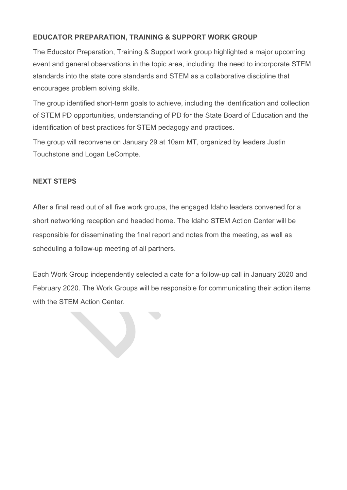### **EDUCATOR PREPARATION, TRAINING & SUPPORT WORK GROUP**

The Educator Preparation, Training & Support work group highlighted a major upcoming event and general observations in the topic area, including: the need to incorporate STEM standards into the state core standards and STEM as a collaborative discipline that encourages problem solving skills.

The group identified short-term goals to achieve, including the identification and collection of STEM PD opportunities, understanding of PD for the State Board of Education and the identification of best practices for STEM pedagogy and practices.

The group will reconvene on January 29 at 10am MT, organized by leaders Justin Touchstone and Logan LeCompte.

### <span id="page-22-0"></span>**NEXT STEPS**

After a final read out of all five work groups, the engaged Idaho leaders convened for a short networking reception and headed home. The Idaho STEM Action Center will be responsible for disseminating the final report and notes from the meeting, as well as scheduling a follow-up meeting of all partners.

Each Work Group independently selected a date for a follow-up call in January 2020 and February 2020. The Work Groups will be responsible for communicating their action items with the STEM Action Center.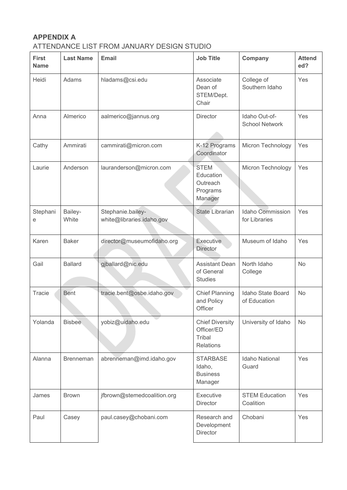## <span id="page-23-0"></span>**APPENDIX A**

## ATTENDANCE LIST FROM JANUARY DESIGN STUDIO

| <b>First</b><br><b>Name</b> | <b>Last Name</b> | <b>Email</b>                                   | <b>Job Title</b>                                                   | Company                                  | <b>Attend</b><br>ed? |
|-----------------------------|------------------|------------------------------------------------|--------------------------------------------------------------------|------------------------------------------|----------------------|
| Heidi                       | Adams            | hladams@csi.edu                                | Associate<br>Dean of<br>STEM/Dept.<br>Chair                        | College of<br>Southern Idaho             | Yes                  |
| Anna                        | Almerico         | aalmerico@jannus.org                           | <b>Director</b>                                                    | Idaho Out-of-<br><b>School Network</b>   | Yes                  |
| Cathy                       | Ammirati         | cammirati@micron.com                           | K-12 Programs<br>Coordinator                                       | Micron Technology                        | Yes                  |
| Laurie                      | Anderson         | lauranderson@micron.com                        | <b>STEM</b><br>Education<br>Outreach<br>Programs<br>Manager        | Micron Technology                        | Yes                  |
| Stephani<br>е               | Bailey-<br>White | Stephanie.bailey-<br>white@libraries.idaho.gov | <b>State Librarian</b>                                             | <b>Idaho Commission</b><br>for Libraries | Yes                  |
| Karen                       | <b>Baker</b>     | director@museumofidaho.org                     | Executive<br><b>Director</b>                                       | Museum of Idaho                          | Yes                  |
| Gail                        | <b>Ballard</b>   | gjballard@nic.edu                              | <b>Assistant Dean</b><br>of General<br><b>Studies</b>              | North Idaho<br>College                   | <b>No</b>            |
| Tracie                      | <b>Bent</b>      | tracie.bent@osbe.idaho.gov                     | <b>Chief Planning</b><br>and Policy<br>Officer                     | Idaho State Board<br>of Education        | <b>No</b>            |
| Yolanda                     | <b>Bisbee</b>    | yobiz@uidaho.edu                               | <b>Chief Diversity</b><br>Officer/ED<br>Tribal<br><b>Relations</b> | University of Idaho                      | No                   |
| Alanna                      | <b>Brenneman</b> | abrenneman@imd.idaho.gov                       | <b>STARBASE</b><br>Idaho,<br><b>Business</b><br>Manager            | <b>Idaho National</b><br>Guard           | Yes                  |
| James                       | <b>Brown</b>     | jfbrown@stemedcoalition.org                    | Executive<br>Director                                              | <b>STEM Education</b><br>Coalition       | Yes                  |
| Paul                        | Casey            | paul.casey@chobani.com                         | Research and<br>Development<br>Director                            | Chobani                                  | Yes                  |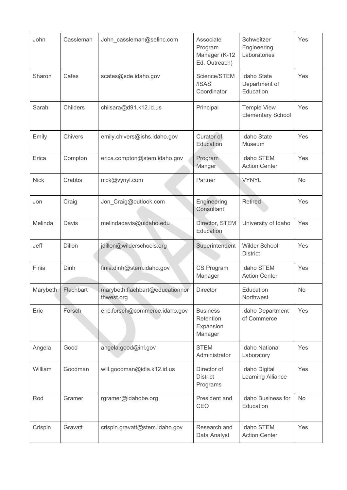| John        | Cassleman     | John cassleman@selinc.com                     | Associate<br>Program<br>Manager (K-12<br>Ed. Outreach) | Schweitzer<br>Engineering<br>Laboratories        | Yes       |
|-------------|---------------|-----------------------------------------------|--------------------------------------------------------|--------------------------------------------------|-----------|
| Sharon      | Cates         | scates@sde.idaho.gov                          | Science/STEM<br>/ISAS<br>Coordinator                   | <b>Idaho State</b><br>Department of<br>Education | Yes       |
| Sarah       | Childers      | chilsara@d91.k12.id.us                        | Principal                                              | <b>Temple View</b><br><b>Elementary School</b>   | Yes       |
| Emily       | Chivers       | emily.chivers@ishs.idaho.gov                  | Curator of<br>Education                                | <b>Idaho State</b><br><b>Museum</b>              | Yes       |
| Erica       | Compton       | erica.compton@stem.idaho.gov                  | Program<br>Manger                                      | Idaho STEM<br><b>Action Center</b>               | Yes       |
| <b>Nick</b> | Crabbs        | nick@vynyl.com                                | Partner                                                | <b>VYNYL</b>                                     | No        |
| Jon         | Craig         | Jon_Craig@outlook.com                         | Engineering<br>Consultant                              | <b>Retired</b>                                   | Yes       |
| Melinda     | Davis         | melindadavis@uidaho.edu                       | Director, STEM<br>Education                            | University of Idaho                              | Yes       |
| Jeff        | <b>Dillon</b> | jdillon@wilderschools.org                     | Superintendent                                         | <b>Wilder School</b><br><b>District</b>          | Yes       |
| Finia       | Dinh          | finia.dinh@stem.idaho.gov                     | <b>CS Program</b><br>Manager                           | Idaho STEM<br><b>Action Center</b>               | Yes       |
| Marybeth    | Flachbart     | marybeth.flachbart@educationnor<br>thwest.org | <b>Director</b>                                        | Education<br>Northwest                           | No        |
| Eric        | Forsch        | eric.forsch@commerce.idaho.gov                | <b>Business</b><br>Retention<br>Expansion<br>Manager   | Idaho Department<br>of Commerce                  | Yes       |
| Angela      | Good          | angela.good@inl.gov                           | <b>STEM</b><br>Administrator                           | Idaho National<br>Laboratory                     | Yes       |
| William     | Goodman       | will.goodman@idla.k12.id.us                   | Director of<br><b>District</b><br>Programs             | Idaho Digital<br>Learning Alliance               | Yes       |
| Rod         | Gramer        | rgramer@idahobe.org                           | President and<br>CEO                                   | Idaho Business for<br>Education                  | <b>No</b> |
| Crispin     | Gravatt       | crispin.gravatt@stem.idaho.gov                | Research and<br>Data Analyst                           | Idaho STEM<br><b>Action Center</b>               | Yes       |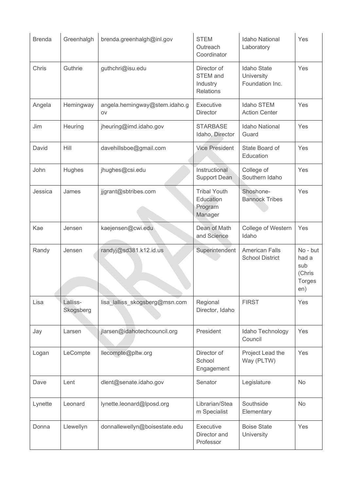| <b>Brenda</b> | Greenhalgh            | brenda.greenhalgh@inl.gov           | <b>STEM</b><br>Outreach<br>Coordinator                         | <b>Idaho National</b><br>Laboratory                 | Yes                                                        |
|---------------|-----------------------|-------------------------------------|----------------------------------------------------------------|-----------------------------------------------------|------------------------------------------------------------|
| Chris         | Guthrie               | guthchri@isu.edu                    | Director of<br><b>STEM</b> and<br>Industry<br><b>Relations</b> | <b>Idaho State</b><br>University<br>Foundation Inc. | Yes                                                        |
| Angela        | Hemingway             | angela.hemingway@stem.idaho.g<br>OV | Executive<br><b>Director</b>                                   | Idaho STEM<br><b>Action Center</b>                  | Yes                                                        |
| Jim           | Heuring               | jheuring@imd.idaho.gov              | <b>STARBASE</b><br>Idaho, Director                             | Idaho National<br>Guard                             | Yes                                                        |
| David         | Hill                  | davehillsboe@gmail.com              | <b>Vice President</b>                                          | State Board of<br>Education                         | Yes                                                        |
| John          | Hughes                | jhughes@csi.edu                     | Instructional<br><b>Support Dean</b>                           | College of<br>Southern Idaho                        | Yes                                                        |
| Jessica       | James                 | jjgrant@sbtribes.com                | <b>Tribal Youth</b><br>Education<br>Program<br>Manager         | Shoshone-<br><b>Bannock Tribes</b>                  | Yes                                                        |
| Kae           | Jensen                | kaejensen@cwi.edu                   | Dean of Math<br>and Science                                    | College of Western<br>Idaho                         | Yes                                                        |
| Randy         | Jensen                | randyj@sd381.k12.id.us              | Superintendent                                                 | <b>American Falls</b><br><b>School District</b>     | No - but<br>had a<br>sub<br>(Chris<br><b>Torges</b><br>en) |
| Lisa          | Lalliss-<br>Skogsberg | lisa lalliss skogsberg@msn.com      | Regional<br>Director, Idaho                                    | <b>FIRST</b>                                        | Yes                                                        |
| Jay           | Larsen                | jlarsen@idahotechcouncil.org        | President                                                      | Idaho Technology<br>Council                         | Yes                                                        |
| Logan         | LeCompte              | llecompte@pltw.org                  | Director of<br>School<br>Engagement                            | Project Lead the<br>Way (PLTW)                      | Yes                                                        |
| Dave          | Lent                  | dlent@senate.idaho.gov              | Senator                                                        | Legislature                                         | No                                                         |
| Lynette       | Leonard               | lynette.leonard@lposd.org           | Librarian/Stea<br>m Specialist                                 | Southside<br>Elementary                             | No                                                         |
| Donna         | Llewellyn             | donnallewellyn@boisestate.edu       | Executive<br>Director and<br>Professor                         | <b>Boise State</b><br>University                    | Yes                                                        |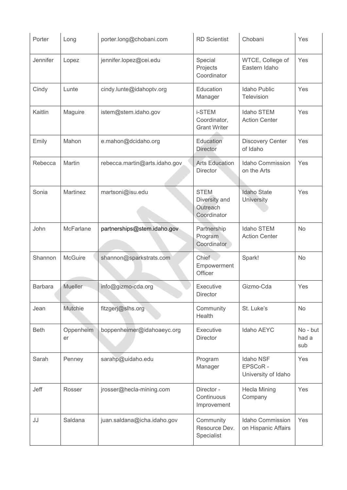| Porter         | Long            | porter.long@chobani.com       | <b>RD</b> Scientist                                     | Chobani                                            | Yes                      |
|----------------|-----------------|-------------------------------|---------------------------------------------------------|----------------------------------------------------|--------------------------|
| Jennifer       | Lopez           | jennifer.lopez@cei.edu        | Special<br>Projects<br>Coordinator                      | WTCE, College of<br>Eastern Idaho                  | Yes                      |
| Cindy          | Lunte           | cindy.lunte@idahoptv.org      | Education<br>Manager                                    | <b>Idaho Public</b><br>Television                  | Yes                      |
| Kaitlin        | Maguire         | istem@stem.idaho.gov          | <b>i-STEM</b><br>Coordinator,<br><b>Grant Writer</b>    | Idaho STEM<br><b>Action Center</b>                 | Yes                      |
| Emily          | Mahon           | e.mahon@dcidaho.org           | Education<br><b>Director</b>                            | <b>Discovery Center</b><br>of Idaho                | Yes                      |
| Rebecca        | Martin          | rebecca.martin@arts.idaho.gov | <b>Arts Education</b><br>Director                       | <b>Idaho Commission</b><br>on the Arts             | Yes                      |
| Sonia          | Martinez        | martsoni@isu.edu              | <b>STEM</b><br>Diversity and<br>Outreach<br>Coordinator | <b>Idaho State</b><br><b>University</b>            | Yes                      |
| John           | McFarlane       | partnerships@stem.idaho.gov   | Partnership<br>Program<br>Coordinator                   | Idaho STEM<br><b>Action Center</b>                 | No                       |
| Shannon        | McGuire         | shannon@sparkstrats.com       | Chief<br>Empowerment<br>Officer                         | Spark!                                             | No                       |
| <b>Barbara</b> | Mueller         | info@gizmo-cda.org            | Executive<br>Director                                   | Gizmo-Cda                                          | Yes                      |
| Jean           | <b>Mutchie</b>  | fitzgerj@slhs.org             | Community<br>Health                                     | St. Luke's                                         | No                       |
| <b>Beth</b>    | Oppenheim<br>er | boppenheimer@idahoaeyc.org    | Executive<br><b>Director</b>                            | Idaho AEYC                                         | No - but<br>had a<br>sub |
| Sarah          | Penney          | sarahp@uidaho.edu             | Program<br>Manager                                      | <b>Idaho NSF</b><br>EPSCoR-<br>University of Idaho | Yes                      |
| Jeff           | Rosser          | jrosser@hecla-mining.com      | Director -<br>Continuous<br>Improvement                 | <b>Hecla Mining</b><br>Company                     | Yes                      |
| JJ             | Saldana         | juan.saldana@icha.idaho.gov   | Community<br>Resource Dev.<br>Specialist                | Idaho Commission<br>on Hispanic Affairs            | Yes                      |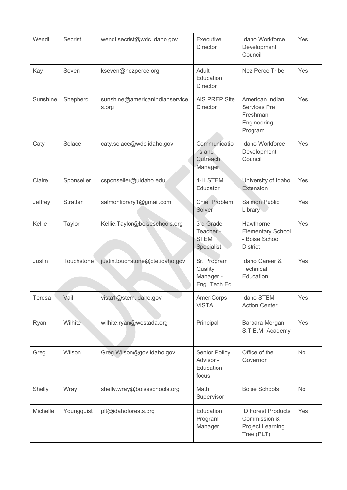| Wendi    | <b>Secrist</b>  | wendi.secrist@wdc.idaho.gov             | Executive<br><b>Director</b>                            | Idaho Workforce<br>Development<br>Council                                    | Yes |
|----------|-----------------|-----------------------------------------|---------------------------------------------------------|------------------------------------------------------------------------------|-----|
| Kay      | Seven           | kseven@nezperce.org                     | Adult<br>Education<br><b>Director</b>                   | Nez Perce Tribe                                                              | Yes |
| Sunshine | Shepherd        | sunshine@americanindianservice<br>s.org | AIS PREP Site<br><b>Director</b>                        | American Indian<br><b>Services Pre</b><br>Freshman<br>Engineering<br>Program | Yes |
| Caty     | Solace          | caty.solace@wdc.idaho.gov               | Communicatio<br>ns and<br>Outreach<br>Manager           | Idaho Workforce<br>Development<br>Council                                    | Yes |
| Claire   | Sponseller      | csponseller@uidaho.edu                  | 4-H STEM<br>Educator                                    | University of Idaho<br>Extension                                             | Yes |
| Jeffrey  | <b>Stratter</b> | salmonlibrary1@gmail.com                | <b>Chief Problem</b><br>Solver                          | <b>Salmon Public</b><br>Library                                              | Yes |
| Kellie   | Taylor          | Kellie.Taylor@boiseschools.org          | 3rd Grade<br>Teacher-<br><b>STEM</b><br>Specialist      | Hawthorne<br><b>Elementary School</b><br>- Boise School<br><b>District</b>   | Yes |
| Justin   | Touchstone      | justin.touchstone@cte.idaho.gov         | Sr. Program<br>Quality<br>Manager -<br>Eng. Tech Ed     | Idaho Career &<br>Technical<br>Education                                     | Yes |
| Teresa   | Vail            | vista1@stem.idaho.gov                   | <b>AmeriCorps</b><br><b>VISTA</b>                       | Idaho STEM<br><b>Action Center</b>                                           | Yes |
| Ryan     | Wilhite         | wilhite.ryan@westada.org                | Principal                                               | Barbara Morgan<br>S.T.E.M. Academy                                           | Yes |
| Greg     | Wilson          | Greg. Wilson@gov.idaho.gov              | <b>Senior Policy</b><br>Advisor -<br>Education<br>focus | Office of the<br>Governor                                                    | No  |
| Shelly   | Wray            | shelly.wray@boiseschools.org            | Math<br>Supervisor                                      | <b>Boise Schools</b>                                                         | No  |
| Michelle | Youngquist      | plt@idahoforests.org                    | Education<br>Program<br>Manager                         | <b>ID Forest Products</b><br>Commission &<br>Project Learning<br>Tree (PLT)  | Yes |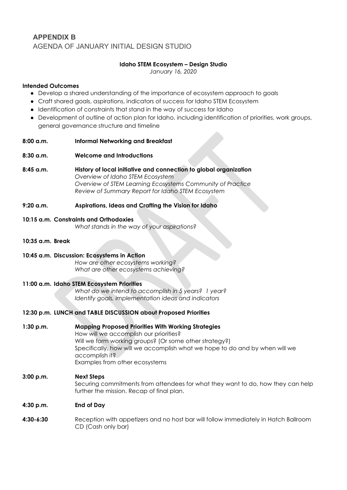### <span id="page-28-0"></span>**APPENDIX B**  AGENDA OF JANUARY INITIAL DESIGN STUDIO

#### **Idaho STEM Ecosystem – Design Studio**

*January 16, 2020*

#### **Intended Outcomes**

- Develop a shared understanding of the importance of ecosystem approach to goals
- Craft shared goals, aspirations, indicators of success for Idaho STEM Ecosystem
- Identification of constraints that stand in the way of success for Idaho
- Development of outline of action plan for Idaho, including identification of priorities, work groups, general governance structure and timeline

#### **8:00 a.m. Informal Networking and Breakfast**

- **8:30 a.m. Welcome and Introductions**
- **8:45 a.m. History of local initiative and connection to global organization**  *Overview of Idaho STEM Ecosystem Overview of STEM Learning Ecosystems Community of Practice Review of Summary Report for Idaho STEM Ecosystem*
- **9:20 a.m. Aspirations, Ideas and Crafting the Vision for Idaho**

#### **10:15 a.m. Constraints and Orthodoxies**

*What stands in the way of your aspirations?*

#### **10:35 a.m. Break**

#### **10:45 a.m. Discussion: Ecosystems in Action**

*How are other ecosystems working? What are other ecosystems achieving?*

#### **11:00 a.m. Idaho STEM Ecosystem Priorities**

*What do we intend to accomplish in 5 years? 1 year? Identify goals, implementation ideas and indicators*

#### **12:30 p.m. LUNCH and TABLE DISCUSSION about Proposed Priorities**

**1:30 p.m. Mapping Proposed Priorities With Working Strategies** How will we accomplish our priorities? Will we form working groups? (Or some other strategy?) Specifically, how will we accomplish what we hope to do and by when will we accomplish it? Examples from other ecosystems

#### **3:00 p.m. Next Steps**  Securing commitments from attendees for what they want to do, how they can help further the mission. Recap of final plan.

#### **4:30 p.m. End of Day**

<span id="page-28-1"></span>**4:30-6:30** Reception with appetizers and no host bar will follow immediately in Hatch Ballroom CD (Cash only bar)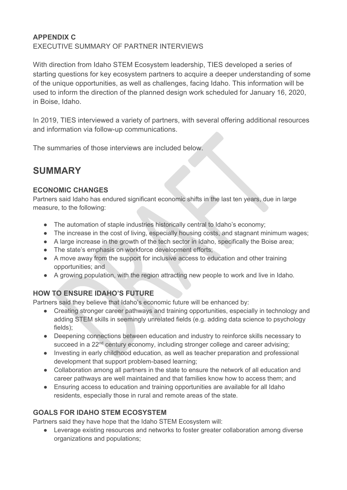### **APPENDIX C**  EXECUTIVE SUMMARY OF PARTNER INTERVIEWS

With direction from Idaho STEM Ecosystem leadership, TIES developed a series of starting questions for key ecosystem partners to acquire a deeper understanding of some of the unique opportunities, as well as challenges, facing Idaho. This information will be used to inform the direction of the planned design work scheduled for January 16, 2020, in Boise, Idaho.

In 2019, TIES interviewed a variety of partners, with several offering additional resources and information via follow-up communications.

The summaries of those interviews are included below.

# **SUMMARY**

### **ECONOMIC CHANGES**

Partners said Idaho has endured significant economic shifts in the last ten years, due in large measure, to the following:

- The automation of staple industries historically central to Idaho's economy;
- The increase in the cost of living, especially housing costs, and stagnant minimum wages;
- A large increase in the growth of the tech sector in Idaho, specifically the Boise area;
- The state's emphasis on workforce development efforts;
- A move away from the support for inclusive access to education and other training opportunities; and
- A growing population, with the region attracting new people to work and live in Idaho.

## **HOW TO ENSURE IDAHO'S FUTURE**

Partners said they believe that Idaho's economic future will be enhanced by:

- Creating stronger career pathways and training opportunities, especially in technology and adding STEM skills in seemingly unrelated fields (e.g. adding data science to psychology fields);
- Deepening connections between education and industry to reinforce skills necessary to succeed in a 22<sup>nd</sup> century economy, including stronger college and career advising;
- Investing in early childhood education, as well as teacher preparation and professional development that support problem-based learning;
- Collaboration among all partners in the state to ensure the network of all education and career pathways are well maintained and that families know how to access them; and
- Ensuring access to education and training opportunities are available for all Idaho residents, especially those in rural and remote areas of the state.

## **GOALS FOR IDAHO STEM ECOSYSTEM**

Partners said they have hope that the Idaho STEM Ecosystem will:

● Leverage existing resources and networks to foster greater collaboration among diverse organizations and populations;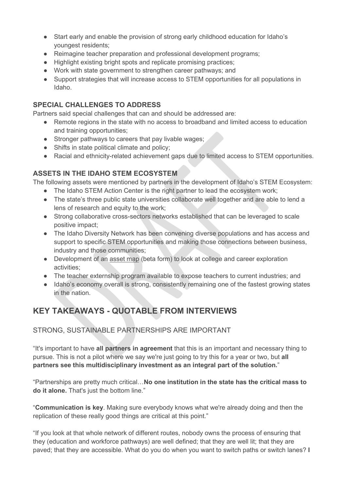- Start early and enable the provision of strong early childhood education for Idaho's youngest residents;
- Reimagine teacher preparation and professional development programs;
- Highlight existing bright spots and replicate promising practices;
- Work with state government to strengthen career pathways; and
- Support strategies that will increase access to STEM opportunities for all populations in Idaho.

### **SPECIAL CHALLENGES TO ADDRESS**

Partners said special challenges that can and should be addressed are:

- Remote regions in the state with no access to broadband and limited access to education and training opportunities;
- Stronger pathways to careers that pay livable wages;
- Shifts in state political climate and policy;
- Racial and ethnicity-related achievement gaps due to limited access to STEM opportunities.

### **ASSETS IN THE IDAHO STEM ECOSYSTEM**

The following assets were mentioned by partners in the development of Idaho's STEM Ecosystem:

- The Idaho STEM Action Center is the right partner to lead the ecosystem work:
- The state's three public state universities collaborate well together and are able to lend a lens of research and equity to the work;
- Strong collaborative cross-sectors networks established that can be leveraged to scale positive impact;
- The Idaho Diversity Network has been convening diverse populations and has access and support to specific STEM opportunities and making those connections between business, industry and those communities;
- Development of an [asset map](https://public.tableau.com/profile/idaho.workforce.development.council#!/vizhome/CER_Tableau_Map1/Info_Focus) (beta form) to look at college and career exploration activities;
- The teacher externship program available to expose teachers to current industries; and
- Idaho's economy overall is strong, consistently remaining one of the fastest growing states in the nation.

## **KEY TAKEAWAYS - QUOTABLE FROM INTERVIEWS**

### STRONG, SUSTAINABLE PARTNERSHIPS ARE IMPORTANT

"It's important to have **all partners in agreement** that this is an important and necessary thing to pursue. This is not a pilot where we say we're just going to try this for a year or two, but **all partners see this multidisciplinary investment as an integral part of the solution.**"

"Partnerships are pretty much critical…**No one institution in the state has the critical mass to do it alone.** That's just the bottom line."

"**Communication is key**. Making sure everybody knows what we're already doing and then the replication of these really good things are critical at this point."

"If you look at that whole network of different routes, nobody owns the process of ensuring that they (education and workforce pathways) are well defined; that they are well lit; that they are paved; that they are accessible. What do you do when you want to switch paths or switch lanes? **I**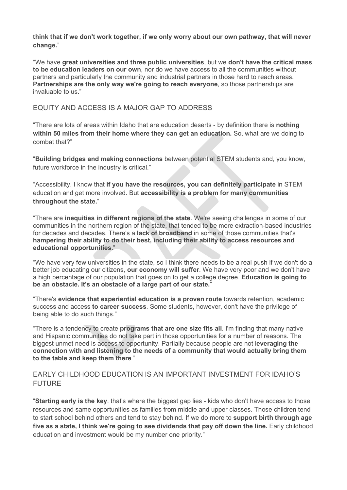**think that if we don't work together, if we only worry about our own pathway, that will never change.**"

"We have **great universities and three public universities**, but we **don't have the critical mass to be education leaders on our own**, nor do we have access to all the communities without partners and particularly the community and industrial partners in those hard to reach areas. **Partnerships are the only way we're going to reach everyone**, so those partnerships are invaluable to us."

#### EQUITY AND ACCESS IS A MAJOR GAP TO ADDRESS

"There are lots of areas within Idaho that are education deserts - by definition there is **nothing within 50 miles from their home where they can get an education.** So, what are we doing to combat that?"

"**Building bridges and making connections** between potential STEM students and, you know, future workforce in the industry is critical."

"Accessibility. I know that **if you have the resources, you can definitely participate** in STEM education and get more involved. But **accessibility is a problem for many communities throughout the state.**"

"There are **inequities in different regions of the state**. We're seeing challenges in some of our communities in the northern region of the state, that tended to be more extraction-based industries for decades and decades. There's a **lack of broadband** in some of those communities that's **hampering their ability to do their best, including their ability to access resources and educational opportunities.**"

"We have very few universities in the state, so I think there needs to be a real push if we don't do a better job educating our citizens, **our economy will suffer**. We have very poor and we don't have a high percentage of our population that goes on to get a college degree. **Education is going to be an obstacle. It's an obstacle of a large part of our state.**"

"There's **evidence that experiential education is a proven route** towards retention, academic success and access **to career success**. Some students, however, don't have the privilege of being able to do such things."

"There is a tendency to create **programs that are one size fits all**. I'm finding that many native and Hispanic communities do not take part in those opportunities for a number of reasons. The biggest unmet need is access to opportunity. Partially because people are not l**everaging the connection with and listening to the needs of a community that would actually bring them to the table and keep them there**."

#### EARLY CHILDHOOD EDUCATION IS AN IMPORTANT INVESTMENT FOR IDAHO'S FUTURE

"**Starting early is the key**. that's where the biggest gap lies - kids who don't have access to those resources and same opportunities as families from middle and upper classes. Those children tend to start school behind others and tend to stay behind. If we do more to **support birth through age five as a state, I think we're going to see dividends that pay off down the line.** Early childhood education and investment would be my number one priority."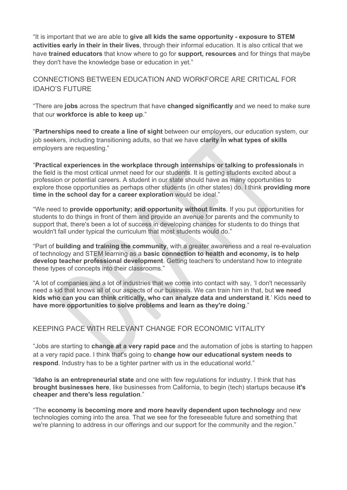"It is important that we are able to **give all kids the same opportunity - exposure to STEM activities early in their in their lives**, through their informal education. It is also critical that we have **trained educators** that know where to go for **support, resources** and for things that maybe they don't have the knowledge base or education in yet."

#### CONNECTIONS BETWEEN EDUCATION AND WORKFORCE ARE CRITICAL FOR IDAHO'S FUTURE

"There are **jobs** across the spectrum that have **changed significantly** and we need to make sure that our **workforce is able to keep up**."

"**Partnerships need to create a line of sight** between our employers, our education system, our job seekers, including transitioning adults, so that we have **clarity in what types of skills** employers are requesting."

"**Practical experiences in the workplace through internships or talking to professionals** in the field is the most critical unmet need for our students. It is getting students excited about a profession or potential careers. A student in our state should have as many opportunities to explore those opportunities as perhaps other students (in other states) do. I think **providing more time in the school day for a career exploration** would be ideal."

"We need to **provide opportunity; and opportunity without limits**. If you put opportunities for students to do things in front of them and provide an avenue for parents and the community to support that, there's been a lot of success in developing chances for students to do things that wouldn't fall under typical the curriculum that most students would do."

"Part of **building and training the community**, with a greater awareness and a real re-evaluation of technology and STEM learning as a **basic connection to health and economy, is to help develop teacher professional development**. Getting teachers to understand how to integrate these types of concepts into their classrooms."

"A lot of companies and a lot of industries that we come into contact with say, 'I don't necessarily need a kid that knows all of our aspects of our business. We can train him in that, but **we need kids who can you can think critically, who can analyze data and understand it**.' Kids **need to have more opportunities to solve problems and learn as they're doing**."

### KEEPING PACE WITH RELEVANT CHANGE FOR ECONOMIC VITALITY

"Jobs are starting to **change at a very rapid pace** and the automation of jobs is starting to happen at a very rapid pace. I think that's going to **change how our educational system needs to respond**. Industry has to be a tighter partner with us in the educational world."

"**Idaho is an entrepreneurial state** and one with few regulations for industry. I think that has **brought businesses here**, like businesses from California, to begin (tech) startups because **it's cheaper and there's less regulation**."

"The **economy is becoming more and more heavily dependent upon technology** and new technologies coming into the area. That we see for the foreseeable future and something that we're planning to address in our offerings and our support for the community and the region."